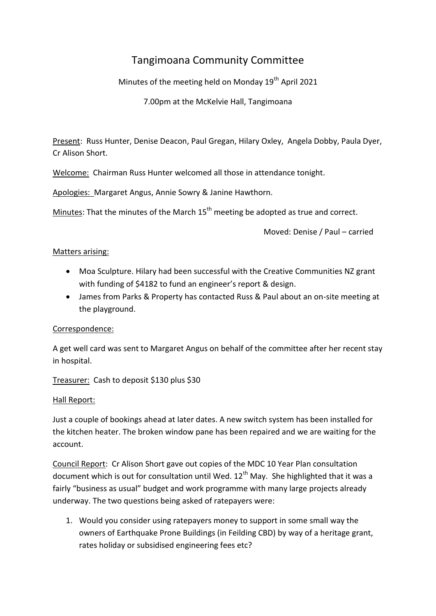# Tangimoana Community Committee

Minutes of the meeting held on Monday 19<sup>th</sup> April 2021

7.00pm at the McKelvie Hall, Tangimoana

Present: Russ Hunter, Denise Deacon, Paul Gregan, Hilary Oxley, Angela Dobby, Paula Dyer, Cr Alison Short.

Welcome: Chairman Russ Hunter welcomed all those in attendance tonight.

Apologies: Margaret Angus, Annie Sowry & Janine Hawthorn.

Minutes: That the minutes of the March  $15<sup>th</sup>$  meeting be adopted as true and correct.

Moved: Denise / Paul – carried

## Matters arising:

- Moa Sculpture. Hilary had been successful with the Creative Communities NZ grant with funding of \$4182 to fund an engineer's report & design.
- James from Parks & Property has contacted Russ & Paul about an on-site meeting at the playground.

## Correspondence:

A get well card was sent to Margaret Angus on behalf of the committee after her recent stay in hospital.

Treasurer: Cash to deposit \$130 plus \$30

## Hall Report:

Just a couple of bookings ahead at later dates. A new switch system has been installed for the kitchen heater. The broken window pane has been repaired and we are waiting for the account.

Council Report: Cr Alison Short gave out copies of the MDC 10 Year Plan consultation document which is out for consultation until Wed.  $12<sup>th</sup>$  May. She highlighted that it was a fairly "business as usual" budget and work programme with many large projects already underway. The two questions being asked of ratepayers were:

1. Would you consider using ratepayers money to support in some small way the owners of Earthquake Prone Buildings (in Feilding CBD) by way of a heritage grant, rates holiday or subsidised engineering fees etc?